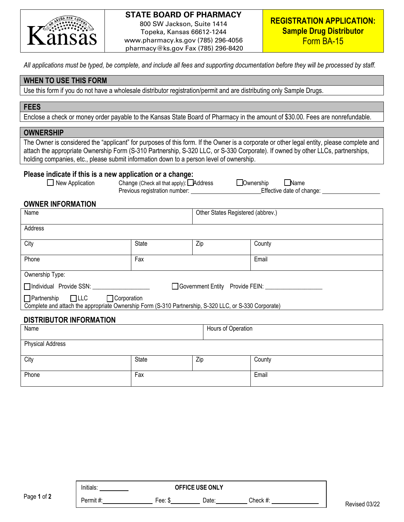

## **STATE BOARD OF PHARMACY**

800 SW Jackson, Suite 1414 Topeka, Kansas 66612-1244 www.pharmacy.ks.gov (785) 296-4056 pharmacy@ks.gov Fax (785) 296-8420

*All applications must be typed, be complete, and include all fees and supporting documentation before they will be processed by staff.* 

# **WHEN TO USE THIS FORM**

Use this form if you do not have a wholesale distributor registration/permit and are distributing only Sample Drugs.

### **FEES**

Enclose a check or money order payable to the Kansas State Board of Pharmacy in the amount of \$30.00. Fees are nonrefundable.

#### **OWNERSHIP**

The Owner is considered the "applicant" for purposes of this form. If the Owner is a corporate or other legal entity, please complete and attach the appropriate Ownership Form (S-310 Partnership, S-320 LLC, or S-330 Corporate). If owned by other LLCs, partnerships, holding companies, etc., please submit information down to a person level of ownership.

#### **Please indicate if this is a new application or a change:**

|  | New Application |  |  |  |
|--|-----------------|--|--|--|
|--|-----------------|--|--|--|

Change (Check all that apply):  $\Box$  Address  $\Box$  Ownership  $\Box$  Name Previous registration number: Effective date of change:

## **OWNER INFORMATION**

| Name                                                                                                                                                            |       | Other States Registered (abbrev.) |        |  |
|-----------------------------------------------------------------------------------------------------------------------------------------------------------------|-------|-----------------------------------|--------|--|
| Address                                                                                                                                                         |       |                                   |        |  |
| City                                                                                                                                                            | State | Zip                               | County |  |
| Phone                                                                                                                                                           | Fax   |                                   | Email  |  |
| Ownership Type:                                                                                                                                                 |       |                                   |        |  |
| Individual Provide SSN:<br>Government Entity Provide FEIN:                                                                                                      |       |                                   |        |  |
| $\Box$ LLC<br>$\Box$ Partnership<br>$\Box$ Corporation<br>Complete and attach the appropriate Ownership Form (S-310 Partnership, S-320 LLC, or S-330 Corporate) |       |                                   |        |  |

# **DISTRIBUTOR INFORMATION**

| Name                    |       |     | Hours of Operation |  |
|-------------------------|-------|-----|--------------------|--|
| <b>Physical Address</b> |       |     |                    |  |
| City                    | State | Zip | County             |  |
| Phone                   | Fax   |     | Email              |  |

|             | <b>OFFICE USE ONLY</b><br>Initials: |        |       |          |
|-------------|-------------------------------------|--------|-------|----------|
| Page 1 of 2 | Permit#:                            | Fee: ა | Date: | Check #: |